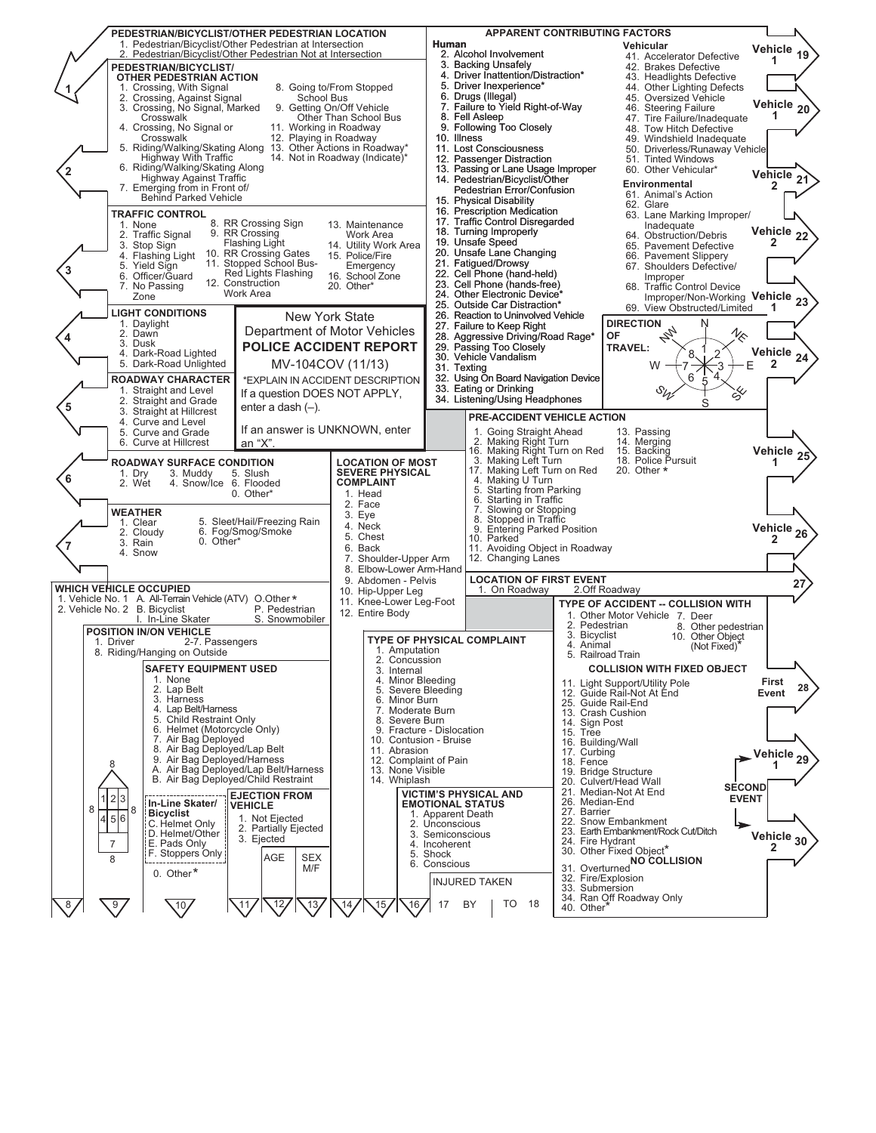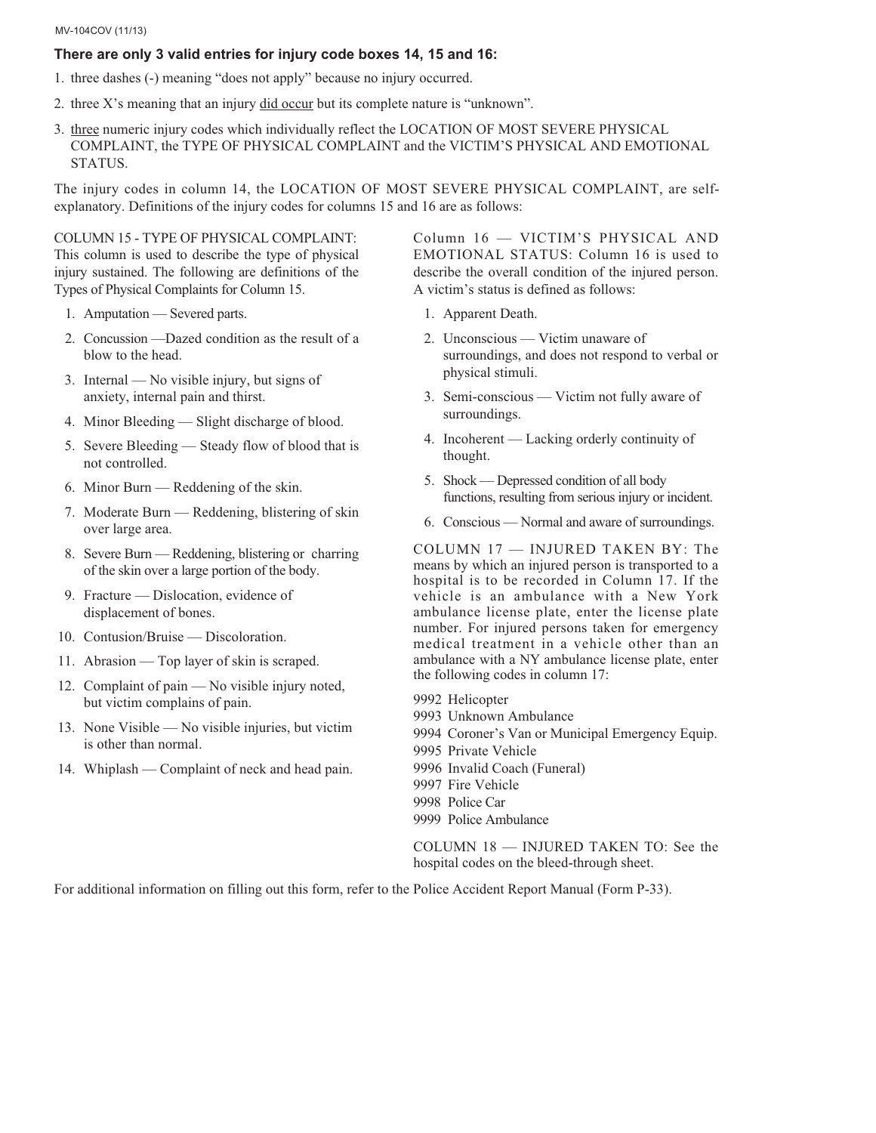### MV-104COV (11/13)

## **There are only 3 valid entries for injury code boxes 14, 15 and 16:**

- 1. three dashes (-) meaning "does not apply" because no injury occurred.
- 2. three X's meaning that an injury did occur but its complete nature is "unknown".
- 3. three numeric injury codes which individually reflect the LOCATION OF MOST SEVERE PHYSICAL COMPLAINT, the TYPE OF PHYSICAL COMPLAINT and the VICTIM'S PHYSICAL AND EMOTIONAL STATUS.

The injury codes in column 14, the LOCATION OF MOST SEVERE PHYSICAL COMPLAINT, are selfexplanatory. Definitions of the injury codes for columns 15 and 16 are as follows:

COLUMN 15 - TYPE OF PHYSICAL COMPLAINT: This column is used to describe the type of physical injury sustained. The following are definitions of the Types of Physical Complaints for Column 15.

- 1. Amputation Severed parts.
- 2. Concussion —Dazed condition as the result of a blow to the head.
- 3. Internal No visible injury, but signs of anxiety, internal pain and thirst.
- 4. Minor Bleeding Slight discharge of blood.
- 5. Severe Bleeding Steady flow of blood that is not controlled.
- 6. Minor Burn Reddening of the skin.
- 7. Moderate Burn Reddening, blistering of skin over large area.
- 8. Severe Burn Reddening, blistering or charring of the skin over a large portion of the body.
- 9. Fracture Dislocation, evidence of displacement of bones.
- 10. Contusion/Bruise Discoloration.
- 11. Abrasion Top layer of skin is scraped.
- 12. Complaint of pain No visible injury noted, but victim complains of pain.
- 13. None Visible No visible injuries, but victim is other than normal.
- 14. Whiplash Complaint of neck and head pain.

Column 16 — VICTIM'S PHYSICAL AND EMOTIONAL STATUS: Column 16 is used to describe the overall condition of the injured person. A victim's status is defined as follows:

- 1. Apparent Death.
- 2. Unconscious Victim unaware of surroundings, and does not respond to verbal or physical stimuli.
- 3. Semi-conscious Victim not fully aware of surroundings.
- 4. Incoherent Lacking orderly continuity of thought.
- 5. Shock Depressed condition of all body functions, resulting from serious injury or incident.
- 6. Conscious Normal and aware of surroundings.

COLUMN 17 — INJURED TAKEN BY: The means by which an injured person is transported to a hospital is to be recorded in Column 17. If the vehicle is an ambulance with a New York ambulance license plate, enter the license plate number. For injured persons taken for emergency medical treatment in a vehicle other than an ambulance with a NY ambulance license plate, enter the following codes in column 17:

- 9992 Helicopter
- 9993 Unknown Ambulance
- 9994 Coroner's Van or Municipal Emergency Equip.
- 9995 Private Vehicle
- 9996 Invalid Coach (Funeral)
- 9997 Fire Vehicle
- 9998 Police Car
- 9999 Police Ambulance

COLUMN 18 — INJURED TAKEN TO: See the hospital codes on the bleed-through sheet.

For additional information on filling out this form, refer to the Police Accident Report Manual (Form P-33).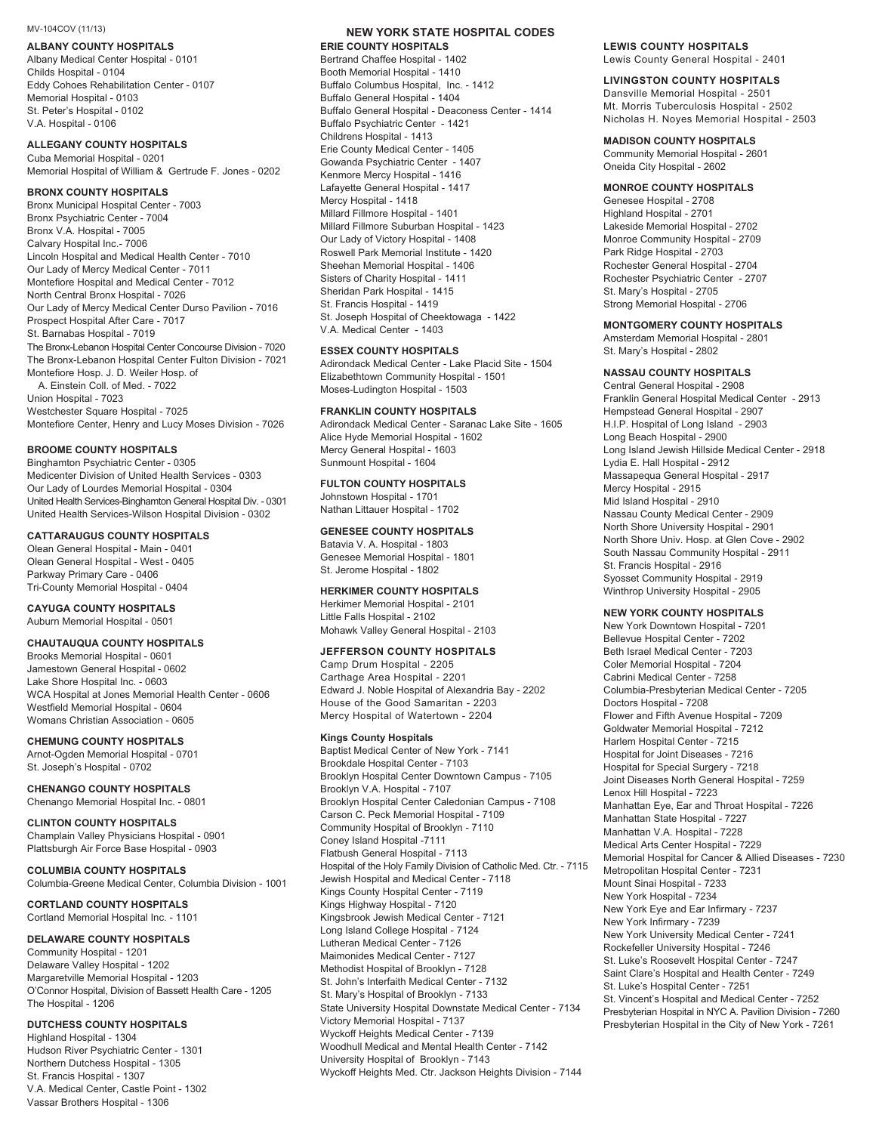**ALBANY COUNTY HOSPITALS** Albany Medical Center Hospital - 0101 Childs Hospital - 0104 Eddy Cohoes Rehabilitation Center - 0107 Memorial Hospital - 0103 St. Peter's Hospital - 0102 V.A. Hospital - 0106

Cuba Memorial Hospital - 0201 Memorial Hospital of William & Gertrude F. Jones - 0202

Bronx Municipal Hospital Center - 7003 Bronx Psychiatric Center - 7004 Bronx V.A. Hospital - 7005 Calvary Hospital Inc.- 7006 Lincoln Hospital and Medical Health Center - 7010 Our Lady of Mercy Medical Center - 7011 Montefiore Hospital and Medical Center - 7012 North Central Bronx Hospital - 7026 Our Lady of Mercy Medical Center Durso Pavilion - 7016 Prospect Hospital After Care - 7017 St. Barnabas Hospital - 7019 The Bronx-Lebanon Hospital Center Concourse Division - 7020 The Bronx-Lebanon Hospital Center Fulton Division - 7021 Montefiore Hosp. J. D. Weiler Hosp. of A. Einstein Coll. of Med. - 7022 Union Hospital - 7023 Westchester Square Hospital - 7025

Montefiore Center, Henry and Lucy Moses Division - 7026

**Binghamton Psychiatric Center - 0305** Medicenter Division of United Health Services - 0303 Our Lady of Lourdes Memorial Hospital - 0304 United Health Services-Binghamton General Hospital Div. - 0301 United Health Services-Wilson Hospital Division - 0302

**Clean General Hospital - Main - 0401** Olean General Hospital - West - 0405 Parkway Primary Care - 0406 Tri-County Memorial Hospital - 0404

Auburn Memorial Hospital - 0501

Brooks Memorial Hospital - 0601 Jamestown General Hospital - 0602 Lake Shore Hospital Inc. - 0603 WCA Hospital at Jones Memorial Health Center - 0606 Westfield Memorial Hospital - 0604 Womans Christian Association - 0605

Arnot-Ogden Memorial Hospital - 0701 St. Joseph's Hospital - 0702

Chenango Memorial Hospital Inc. - 0801

Champlain Valley Physicians Hospital - 0901 Plattsburgh Air Force Base Hospital - 0903

**COLUMBIA COUNTY HOSPITALS** Columbia-Greene Medical Center, Columbia Division - 1001

Cortland Memorial Hospital Inc. - 1101

**Community Hospital - 1201** Delaware Valley Hospital - 1202 Margaretville Memorial Hospital - 1203 O'Connor Hospital, Division of Bassett Health Care - 1205 The Hospital - 1206

Highland Hospital - 1304 Hudson River Psychiatric Center - 1301 Northern Dutchess Hospital - 1305 St. Francis Hospital - 1307 V.A. Medical Center, Castle Point - 1302 Vassar Brothers Hospital - 1306

# MV-104COV (11/13)<br>**ALBANY COUNTY HOSPITALS**<br>ERIE COUNTY HOSPITAL BOOTHER ALBANY COUNTY HOSPITALS

Bertrand Chaffee Hospital - 1402 Booth Memorial Hospital - 1410 Buffalo Columbus Hospital, Inc. - 1412 Buffalo General Hospital - 1404 Buffalo General Hospital - Deaconess Center - 1414 Buffalo Psychiatric Center - 1421 Childrens Hospital - 1413 Erie County Medical Center - 1405 Gowanda Psychiatric Center - 1407 Kenmore Mercy Hospital - 1416 Lafayette General Hospital - 1417 Mercy Hospital - 1418 Millard Fillmore Hospital - 1401 Millard Fillmore Suburban Hospital - 1423 Our Lady of Victory Hospital - 1408 Roswell Park Memorial Institute - 1420 Sheehan Memorial Hospital - 1406 Sisters of Charity Hospital - 1411 Sheridan Park Hospital - 1415 St. Francis Hospital - 1419 St. Joseph Hospital of Cheektowaga - 1422 V.A. Medical Center - 1403

**ESSEX COUNTY HOSPITALS** Adirondack Medical Center - Lake Placid Site - 1504 Elizabethtown Community Hospital - 1501 Moses-Ludington Hospital - 1503

**FRANKLIN COUNTY HOSPITALS** Adirondack Medical Center - Saranac Lake Site - 1605 Alice Hyde Memorial Hospital - 1602 Mercy General Hospital - 1603 Sunmount Hospital - 1604

Johnstown Hospital - 1701 Nathan Littauer Hospital - 1702

Batavia V. A. Hospital - 1803 Genesee Memorial Hospital - 1801 St. Jerome Hospital - 1802

Herkimer Memorial Hospital - 2101 Little Falls Hospital - 2102 Mohawk Valley General Hospital - 2103

Camp Drum Hospital - 2205 Carthage Area Hospital - 2201 Edward J. Noble Hospital of Alexandria Bay - 2202 House of the Good Samaritan - 2203 Mercy Hospital of Watertown - 2204

**Kings County Hospitals** Baptist Medical Center of New York - 7141 Brookdale Hospital Center - 7103 Brooklyn Hospital Center Downtown Campus - 7105 Brooklyn V.A. Hospital - 7107 Brooklyn Hospital Center Caledonian Campus - 7108 Carson C. Peck Memorial Hospital - 7109 Community Hospital of Brooklyn - 7110 Coney Island Hospital -7111 Flatbush General Hospital - 7113 Hospital of the Holy Family Division of Catholic Med. Ctr. - 7115 Jewish Hospital and Medical Center - 7118 Kings County Hospital Center - 7119 Kings Highway Hospital - 7120 Kingsbrook Jewish Medical Center - 7121 Long Island College Hospital - 7124 Lutheran Medical Center - 7126 Maimonides Medical Center - 7127 Methodist Hospital of Brooklyn - 7128 St. John's Interfaith Medical Center - 7132 St. Mary's Hospital of Brooklyn - 7133 State University Hospital Downstate Medical Center - 7134 Victory Memorial Hospital - 7137 Wyckoff Heights Medical Center - 7139 Woodhull Medical and Mental Health Center - 7142 University Hospital of Brooklyn - 7143 Wyckoff Heights Med. Ctr. Jackson Heights Division - 7144

# Lewis County General Hospital - 2401

Dansville Memorial Hospital - 2501 Mt. Morris Tuberculosis Hospital - 2502 Nicholas H. Noyes Memorial Hospital - 2503

**Community Memorial Hospital - 2601** Oneida City Hospital - 2602

Genesee Hospital - 2708 Highland Hospital - 2701 Lakeside Memorial Hospital - 2702 Monroe Community Hospital - 2709 Park Ridge Hospital - 2703 Rochester General Hospital - 2704 Rochester Psychiatric Center - 2707 St. Mary's Hospital - 2705 Strong Memorial Hospital - 2706

Amsterdam Memorial Hospital - 2801 St. Mary's Hospital - 2802

Central General Hospital - 2908 Franklin General Hospital Medical Center - 2913 Hempstead General Hospital - 2907 H.I.P. Hospital of Long Island - 2903 Long Beach Hospital - 2900 Long Island Jewish Hillside Medical Center - 2918 Lydia E. Hall Hospital - 2912 Massapequa General Hospital - 2917 Mercy Hospital - 2915 Mid Island Hospital - 2910 Nassau County Medical Center - 2909 North Shore University Hospital - 2901 North Shore Univ. Hosp. at Glen Cove - 2902 South Nassau Community Hospital - 2911 St. Francis Hospital - 2916 Syosset Community Hospital - 2919 Winthrop University Hospital - 2905

New York Downtown Hospital - 7201 Bellevue Hospital Center - 7202 Beth Israel Medical Center - 7203 Coler Memorial Hospital - 7204 Cabrini Medical Center - 7258 Columbia-Presbyterian Medical Center - 7205 Doctors Hospital - 7208 Flower and Fifth Avenue Hospital - 7209 Goldwater Memorial Hospital - 7212 Harlem Hospital Center - 7215 Hospital for Joint Diseases - 7216 Hospital for Special Surgery - 7218 Joint Diseases North General Hospital - 7259 Lenox Hill Hospital - 7223 Manhattan Eye, Ear and Throat Hospital - 7226 Manhattan State Hospital - 7227 Manhattan V.A. Hospital - 7228 Medical Arts Center Hospital - 7229 Memorial Hospital for Cancer & Allied Diseases - 7230 Metropolitan Hospital Center - 7231 Mount Sinai Hospital - 7233 New York Hospital - 7234 New York Eye and Ear Infirmary - 7237 New York Infirmary - 7239 New York University Medical Center - 7241 Rockefeller University Hospital - 7246 St. Luke's Roosevelt Hospital Center - 7247 Saint Clare's Hospital and Health Center - 7249 St. Luke's Hospital Center - 7251 St. Vincent's Hospital and Medical Center - 7252 Presbyterian Hospital in NYC A. Pavilion Division - 7260 Presbyterian Hospital in the City of New York - 7261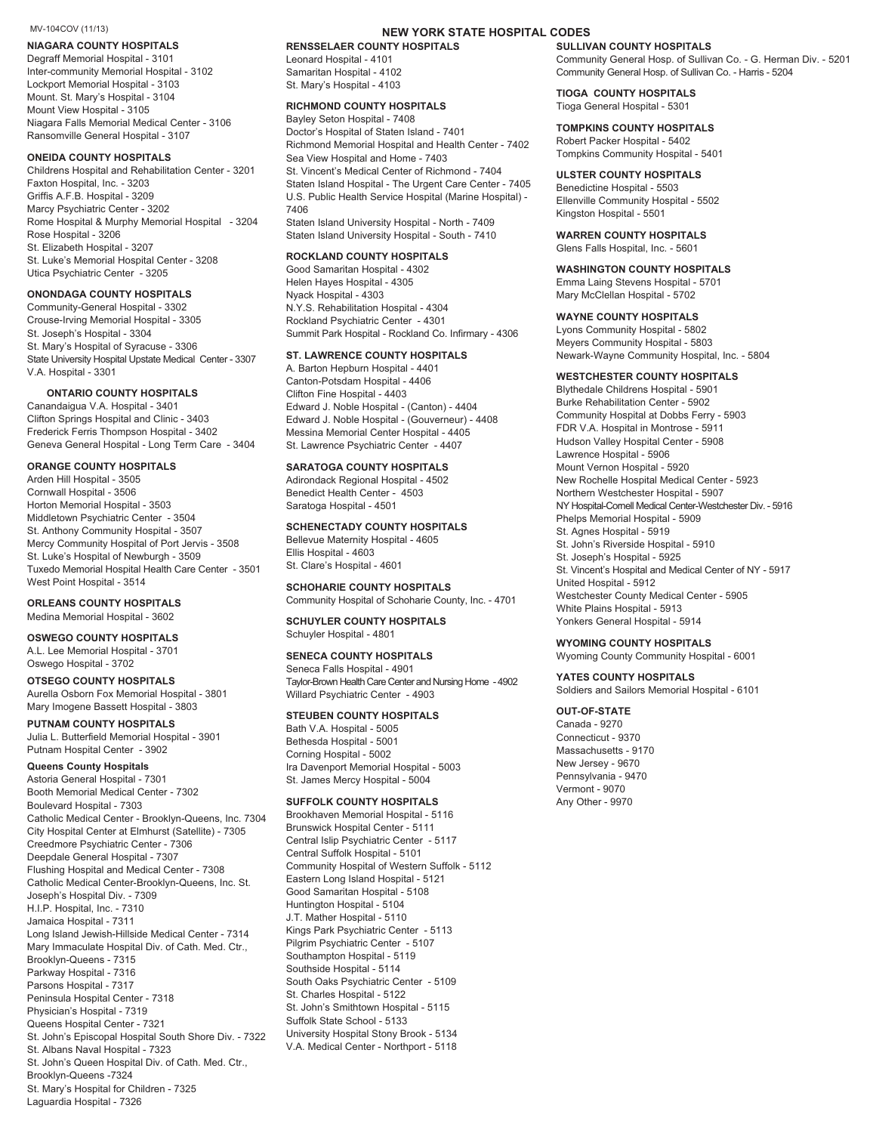**NIAGARA COUNTY HOSPITALS** Degraff Memorial Hospital - 3101 Inter-community Memorial Hospital - 3102 Lockport Memorial Hospital - 3103 Mount. St. Mary's Hospital - 3104 Mount View Hospital - 3105 Niagara Falls Memorial Medical Center - 3106 Ransomville General Hospital - 3107

**ONEIDA COUNTY HOSPITALS** Childrens Hospital and Rehabilitation Center - 3201 Faxton Hospital, Inc. - 3203 Griffis A.F.B. Hospital - 3209 Marcy Psychiatric Center - 3202 Rome Hospital & Murphy Memorial Hospital - 3204 Rose Hospital - 3206 St. Elizabeth Hospital - 3207 St. Luke's Memorial Hospital Center - 3208 Utica Psychiatric Center - 3205

**ONONDAGA COUNTY HOSPITALS** Community-General Hospital - 3302 Crouse-Irving Memorial Hospital - 3305 St. Joseph's Hospital - 3304 St. Mary's Hospital of Syracuse - 3306 State University Hospital Upstate Medical Center - 3307 V.A. Hospital - 3301

**ONTARIO COUNTY HOSPITALS** Canandaigua V.A. Hospital - 3401 Clifton Springs Hospital and Clinic - 3403 Frederick Ferris Thompson Hospital - 3402 Geneva General Hospital - Long Term Care - 3404

**ORANGE COUNTY HOSPITALS** Arden Hill Hospital - 3505 Cornwall Hospital - 3506 Horton Memorial Hospital - 3503 Middletown Psychiatric Center - 3504 St. Anthony Community Hospital - 3507 Mercy Community Hospital of Port Jervis - 3508 St. Luke's Hospital of Newburgh - 3509 Tuxedo Memorial Hospital Health Care Center - 3501 West Point Hospital - 3514

**ORLEANS COUNTY HOSPITALS** Medina Memorial Hospital - 3602

**OSWEGO COUNTY HOSPITALS** A.L. Lee Memorial Hospital - 3701 Oswego Hospital - 3702

**OTSEGO COUNTY HOSPITALS** Aurella Osborn Fox Memorial Hospital - 3801 Mary Imogene Bassett Hospital - 3803

**PUTNAM COUNTY HOSPITALS** Julia L. Butterfield Memorial Hospital - 3901 Putnam Hospital Center - 3902

**Queens County Hospitals** Astoria General Hospital - 7301 Booth Memorial Medical Center - 7302 Boulevard Hospital - 7303 Catholic Medical Center - Brooklyn-Queens, Inc. 7304 City Hospital Center at Elmhurst (Satellite) - 7305 Creedmore Psychiatric Center - 7306 Deepdale General Hospital - 7307 Flushing Hospital and Medical Center - 7308 Catholic Medical Center-Brooklyn-Queens, Inc. St. Joseph's Hospital Div. - 7309 H.I.P. Hospital, Inc. - 7310 Jamaica Hospital - 7311 Long Island Jewish-Hillside Medical Center - 7314 Mary Immaculate Hospital Div. of Cath. Med. Ctr., Brooklyn-Queens - 7315 Parkway Hospital - 7316 Parsons Hospital - 7317 Peninsula Hospital Center - 7318 Physician's Hospital - 7319 Queens Hospital Center - 7321 St. John's Episcopal Hospital South Shore Div. - 7322 St. Albans Naval Hospital - 7323 St. John's Queen Hospital Div. of Cath. Med. Ctr., Brooklyn-Queens -7324 St. Mary's Hospital for Children - 7325 Laguardia Hospital - 7326

# MV-104COV (11/13)<br>**NIAGARA COUNTY HOSPITALS** RENSSELAER COUNTY HOSPITALS SULLIVAN COUNTY HOSPITALS

Leonard Hospital - 4101 Samaritan Hospital - 4102 St. Mary's Hospital - 4103

Bayley Seton Hospital - 7408 Doctor's Hospital of Staten Island - 7401 Richmond Memorial Hospital and Health Center - 7402 Sea View Hospital and Home - 7403 St. Vincent's Medical Center of Richmond - 7404 Staten Island Hospital - The Urgent Care Center - 7405 U.S. Public Health Service Hospital (Marine Hospital) - 7406 Staten Island University Hospital - North - 7409 Staten Island University Hospital - South - 7410

Good Samaritan Hospital - 4302 Helen Hayes Hospital - 4305 Nyack Hospital - 4303 N.Y.S. Rehabilitation Hospital - 4304 Rockland Psychiatric Center - 4301 Summit Park Hospital - Rockland Co. Infirmary - 4306

A. Barton Hepburn Hospital - 4401 Canton-Potsdam Hospital - 4406 Clifton Fine Hospital - 4403 Edward J. Noble Hospital - (Canton) - 4404 Edward J. Noble Hospital - (Gouverneur) - 4408 Messina Memorial Center Hospital - 4405 St. Lawrence Psychiatric Center - 4407

Adirondack Regional Hospital - 4502 Benedict Health Center - 4503 Saratoga Hospital - 4501

Bellevue Maternity Hospital - 4605 Ellis Hospital - 4603 St. Clare's Hospital - 4601

Community Hospital of Schoharie County, Inc. - 4701

Schuyler Hospital - 4801

Seneca Falls Hospital - 4901 Taylor-Brown Health Care Center and Nursing Home - 4902 Willard Psychiatric Center - 4903

Bath V.A. Hospital - 5005 Bethesda Hospital - 5001 Corning Hospital - 5002 Ira Davenport Memorial Hospital - 5003 St. James Mercy Hospital - 5004

Brookhaven Memorial Hospital - 5116 Brunswick Hospital Center - 5111 Central Islip Psychiatric Center - 5117 Central Suffolk Hospital - 5101 Community Hospital of Western Suffolk - 5112 Eastern Long Island Hospital - 5121 Good Samaritan Hospital - 5108 Huntington Hospital - 5104 J.T. Mather Hospital - 5110 Kings Park Psychiatric Center - 5113 Pilgrim Psychiatric Center - 5107 Southampton Hospital - 5119 Southside Hospital - 5114 South Oaks Psychiatric Center - 5109 St. Charles Hospital - 5122 St. John's Smithtown Hospital - 5115 Suffolk State School - 5133 University Hospital Stony Brook - 5134 V.A. Medical Center - Northport - 5118

Community General Hosp. of Sullivan Co. - G. Herman Div. - 5201 Community General Hosp. of Sullivan Co. - Harris - 5204

## **TIOGA COUNTY HOSPITALS** Tioga General Hospital - 5301

Robert Packer Hospital - 5402 Tompkins Community Hospital - 5401

**Benedictine Hospital - 5503** Ellenville Community Hospital - 5502 Kingston Hospital - 5501

Glens Falls Hospital, Inc. - 5601

**WASHINGTON COUNTY HOSPITALS Emma Laing Stevens Hospital - 5701** Mary McClellan Hospital - 5702

Lyons Community Hospital - 5802 Meyers Community Hospital - 5803 Newark-Wayne Community Hospital, Inc. - 5804

**Blythedale Childrens Hospital - 5901** Burke Rehabilitation Center - 5902 Community Hospital at Dobbs Ferry - 5903 FDR V.A. Hospital in Montrose - 5911 Hudson Valley Hospital Center - 5908 Lawrence Hospital - 5906 Mount Vernon Hospital - 5920 New Rochelle Hospital Medical Center - 5923 Northern Westchester Hospital - 5907 NY Hospital-Cornell Medical Center-Westchester Div. - 5916 Phelps Memorial Hospital - 5909 St. Agnes Hospital - 5919 St. John's Riverside Hospital - 5910 St. Joseph's Hospital - 5925 St. Vincent's Hospital and Medical Center of NY - 5917 United Hospital - 5912 Westchester County Medical Center - 5905 White Plains Hospital - 5913 Yonkers General Hospital - 5914

**WYOMING COUNTY HOSPITALS** Wyoming County Community Hospital - 6001

Soldiers and Sailors Memorial Hospital - 6101

## **OUT-OF-STATE**

Canada - 9270 Connecticut - 9370 Massachusetts - 9170 New Jersey - 9670 Pennsylvania - 9470 Vermont - 9070 Any Other - 9970